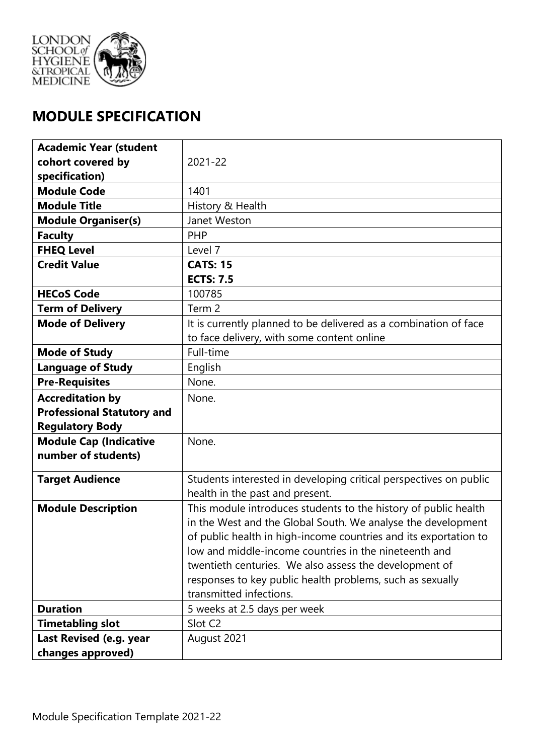

# **MODULE SPECIFICATION**

| <b>Academic Year (student</b>     |                                                                   |  |  |
|-----------------------------------|-------------------------------------------------------------------|--|--|
| cohort covered by                 | 2021-22                                                           |  |  |
| specification)                    |                                                                   |  |  |
| <b>Module Code</b>                | 1401                                                              |  |  |
| <b>Module Title</b>               | History & Health                                                  |  |  |
| <b>Module Organiser(s)</b>        | Janet Weston                                                      |  |  |
| <b>Faculty</b>                    | PHP                                                               |  |  |
| <b>FHEQ Level</b>                 | Level 7                                                           |  |  |
| <b>Credit Value</b>               | <b>CATS: 15</b>                                                   |  |  |
|                                   | <b>ECTS: 7.5</b>                                                  |  |  |
| <b>HECoS Code</b>                 | 100785                                                            |  |  |
| <b>Term of Delivery</b>           | Term 2                                                            |  |  |
| <b>Mode of Delivery</b>           | It is currently planned to be delivered as a combination of face  |  |  |
|                                   | to face delivery, with some content online                        |  |  |
| <b>Mode of Study</b>              | Full-time                                                         |  |  |
| <b>Language of Study</b>          | English                                                           |  |  |
| <b>Pre-Requisites</b>             | None.                                                             |  |  |
| <b>Accreditation by</b>           | None.                                                             |  |  |
| <b>Professional Statutory and</b> |                                                                   |  |  |
| <b>Regulatory Body</b>            |                                                                   |  |  |
| <b>Module Cap (Indicative</b>     | None.                                                             |  |  |
| number of students)               |                                                                   |  |  |
| <b>Target Audience</b>            | Students interested in developing critical perspectives on public |  |  |
|                                   | health in the past and present.                                   |  |  |
| <b>Module Description</b>         | This module introduces students to the history of public health   |  |  |
|                                   | in the West and the Global South. We analyse the development      |  |  |
|                                   | of public health in high-income countries and its exportation to  |  |  |
|                                   | low and middle-income countries in the nineteenth and             |  |  |
|                                   | twentieth centuries. We also assess the development of            |  |  |
|                                   | responses to key public health problems, such as sexually         |  |  |
|                                   | transmitted infections.                                           |  |  |
| <b>Duration</b>                   | 5 weeks at 2.5 days per week                                      |  |  |
| <b>Timetabling slot</b>           | Slot C <sub>2</sub>                                               |  |  |
| Last Revised (e.g. year           | August 2021                                                       |  |  |
| changes approved)                 |                                                                   |  |  |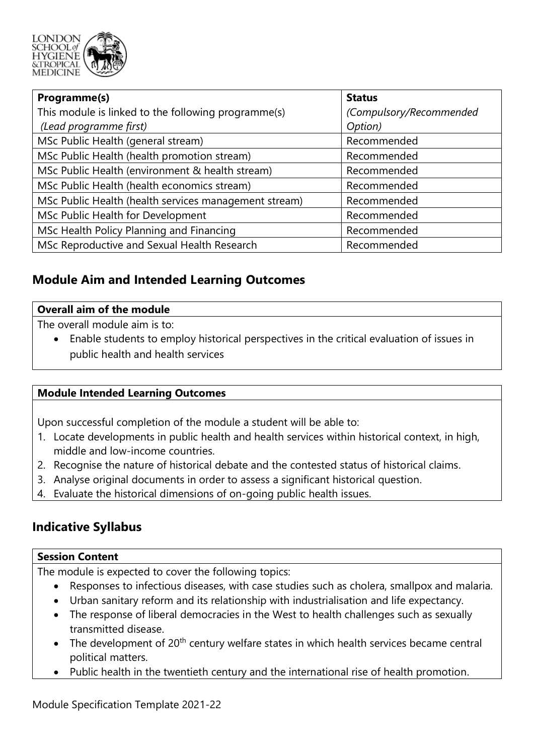

| Programme(s)                                          | <b>Status</b>           |  |
|-------------------------------------------------------|-------------------------|--|
| This module is linked to the following programme(s)   | (Compulsory/Recommended |  |
| (Lead programme first)                                | Option)                 |  |
| MSc Public Health (general stream)                    | Recommended             |  |
| MSc Public Health (health promotion stream)           | Recommended             |  |
| MSc Public Health (environment & health stream)       | Recommended             |  |
| MSc Public Health (health economics stream)           | Recommended             |  |
| MSc Public Health (health services management stream) | Recommended             |  |
| MSc Public Health for Development                     | Recommended             |  |
| MSc Health Policy Planning and Financing              | Recommended             |  |
| MSc Reproductive and Sexual Health Research           | Recommended             |  |

## **Module Aim and Intended Learning Outcomes**

#### **Overall aim of the module**

The overall module aim is to:

 • Enable students to employ historical perspectives in the critical evaluation of issues in public health and health services

#### **Module Intended Learning Outcomes**

Upon successful completion of the module a student will be able to:

- 1. Locate developments in public health and health services within historical context, in high, middle and low-income countries.
- 2. Recognise the nature of historical debate and the contested status of historical claims.
- 3. Analyse original documents in order to assess a significant historical question.
- 4. Evaluate the historical dimensions of on-going public health issues.

## **Indicative Syllabus**

#### **Session Content**

The module is expected to cover the following topics:

- Responses to infectious diseases, with case studies such as cholera, smallpox and malaria.
- Urban sanitary reform and its relationship with industrialisation and life expectancy.
- • The response of liberal democracies in the West to health challenges such as sexually transmitted disease.
- The development of  $20<sup>th</sup>$  century welfare states in which health services became central political matters.
- Public health in the twentieth century and the international rise of health promotion.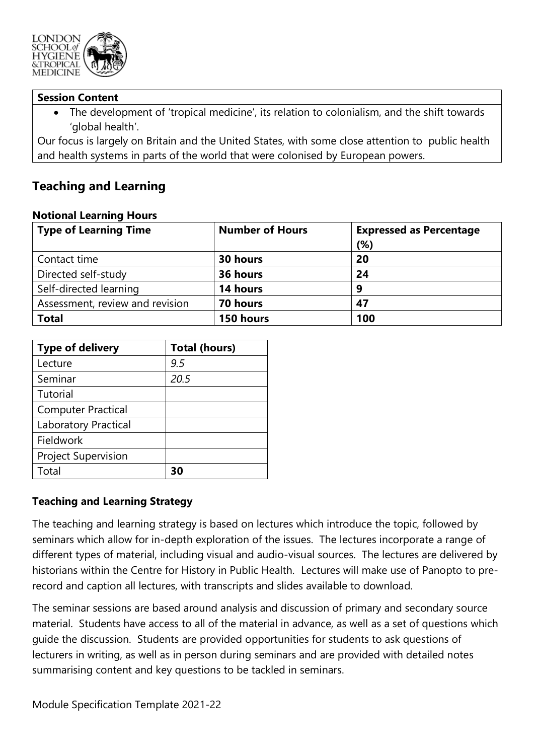

#### **Session Content**

 • The development of 'tropical medicine', its relation to colonialism, and the shift towards 'global health'.

 Our focus is largely on Britain and the United States, with some close attention to public health and health systems in parts of the world that were colonised by European powers.

## **Teaching and Learning**

| <b>Type of Learning Time</b>    | <b>Number of Hours</b> | <b>Expressed as Percentage</b> |  |  |  |
|---------------------------------|------------------------|--------------------------------|--|--|--|
|                                 |                        | (%)                            |  |  |  |
| Contact time                    | 30 hours               | 20                             |  |  |  |
| Directed self-study             | 36 hours               | 24                             |  |  |  |
| Self-directed learning          | 14 hours               | 9                              |  |  |  |
| Assessment, review and revision | 70 hours               | 47                             |  |  |  |
| <b>Total</b>                    | 150 hours              | 100                            |  |  |  |

#### **Notional Learning Hours**

| <b>Type of delivery</b>     | <b>Total (hours)</b> |  |  |
|-----------------------------|----------------------|--|--|
| Lecture                     | 9.5                  |  |  |
| Seminar                     | 20.5                 |  |  |
| Tutorial                    |                      |  |  |
| <b>Computer Practical</b>   |                      |  |  |
| <b>Laboratory Practical</b> |                      |  |  |
| Fieldwork                   |                      |  |  |
| <b>Project Supervision</b>  |                      |  |  |
| Total                       | 30                   |  |  |

#### **Teaching and Learning Strategy**

 The teaching and learning strategy is based on lectures which introduce the topic, followed by seminars which allow for in-depth exploration of the issues. The lectures incorporate a range of different types of material, including visual and audio-visual sources. The lectures are delivered by historians within the Centre for History in Public Health. Lectures will make use of Panopto to pre-record and caption all lectures, with transcripts and slides available to download.

 The seminar sessions are based around analysis and discussion of primary and secondary source material. Students have access to all of the material in advance, as well as a set of questions which guide the discussion. Students are provided opportunities for students to ask questions of lecturers in writing, as well as in person during seminars and are provided with detailed notes summarising content and key questions to be tackled in seminars.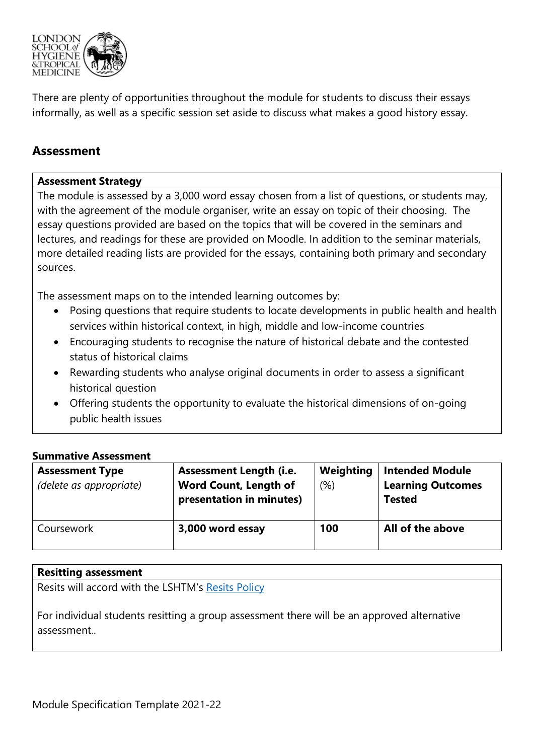

 There are plenty of opportunities throughout the module for students to discuss their essays informally, as well as a specific session set aside to discuss what makes a good history essay.

## **Assessment**

#### **Assessment Strategy**

 The module is assessed by a 3,000 word essay chosen from a list of questions, or students may, with the agreement of the module organiser, write an essay on topic of their choosing. The essay questions provided are based on the topics that will be covered in the seminars and lectures, and readings for these are provided on Moodle. In addition to the seminar materials, more detailed reading lists are provided for the essays, containing both primary and secondary sources.

The assessment maps on to the intended learning outcomes by:

- • Posing questions that require students to locate developments in public health and health services within historical context, in high, middle and low-income countries
- • Encouraging students to recognise the nature of historical debate and the contested status of historical claims
- • Rewarding students who analyse original documents in order to assess a significant historical question
- • Offering students the opportunity to evaluate the historical dimensions of on-going public health issues

#### **Summative Assessment**

| <b>Assessment Type</b><br>(delete as appropriate) | <b>Assessment Length (i.e.</b><br><b>Word Count, Length of</b><br>presentation in minutes) | Weighting<br>(% ) | <b>Intended Module</b><br><b>Learning Outcomes</b><br><b>Tested</b> |
|---------------------------------------------------|--------------------------------------------------------------------------------------------|-------------------|---------------------------------------------------------------------|
| Coursework                                        | 3,000 word essay                                                                           | 100               | All of the above                                                    |

#### **Resitting assessment**

Resits will accord with the LSHTM's Resits Policy

 For individual students resitting a group assessment there will be an approved alternative assessment..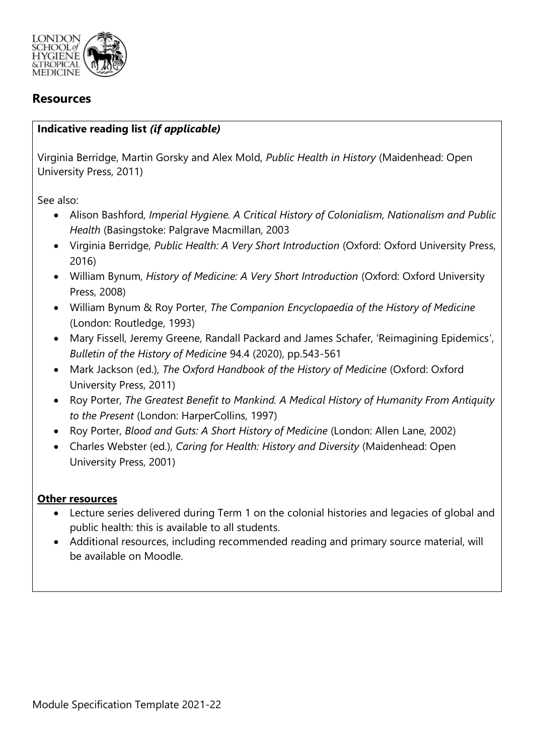

## **Resources**

#### **Indicative reading list** *(if applicable)*

 Virginia Berridge, Martin Gorsky and Alex Mold, *Public Health in History* (Maidenhead: Open University Press, 2011)

See also:

- Alison Bashford, *Imperial Hygiene. A Critical History of Colonialism, Nationalism and Public Health* (Basingstoke: Palgrave Macmillan, 2003
- Virginia Berridge, Public Health: A Very Short Introduction (Oxford: Oxford University Press, 2016)
- William Bynum, *History of Medicine: A Very Short Introduction* (Oxford: Oxford University Press, 2008)
- William Bynum & Roy Porter, *The Companion Encyclopaedia of the History of Medicine*  (London: Routledge, 1993)
- • Mary Fissell, Jeremy Greene, Randall Packard and James Schafer, 'Reimagining Epidemics',  *Bulletin of the History of Medicine* 94.4 (2020), pp.543-561
- • Mark Jackson (ed.), *The Oxford Handbook of the History of Medicine* (Oxford: Oxford University Press, 2011)
- Roy Porter, *The Greatest Benefit to Mankind. A Medical History of Humanity From Antiquity to the Present* (London: HarperCollins, 1997)
- Roy Porter, *Blood and Guts: A Short History of Medicine* (London: Allen Lane, 2002)
- • Charles Webster (ed.), *Caring for Health: History and Diversity* (Maidenhead: Open University Press, 2001)

#### **Other resources**

- • Lecture series delivered during Term 1 on the colonial histories and legacies of global and public health: this is available to all students.
- • Additional resources, including recommended reading and primary source material, will be available on Moodle.